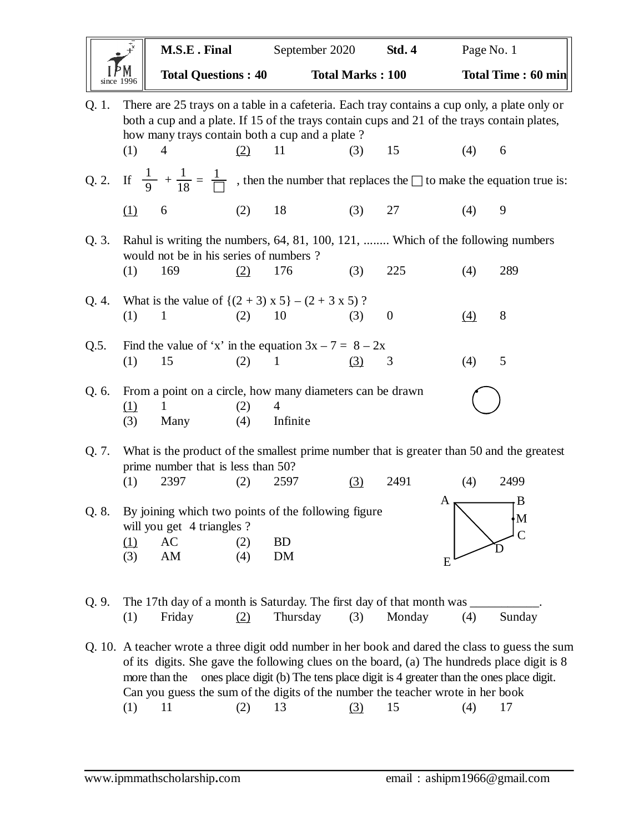|         |                                                                                                                                                                                                                                               | M.S.E. Final                                                                                                              |            | September 2020  |                         | <b>Std. 4</b>  |                             | Page No. 1                                                                                                                   |  |  |
|---------|-----------------------------------------------------------------------------------------------------------------------------------------------------------------------------------------------------------------------------------------------|---------------------------------------------------------------------------------------------------------------------------|------------|-----------------|-------------------------|----------------|-----------------------------|------------------------------------------------------------------------------------------------------------------------------|--|--|
|         |                                                                                                                                                                                                                                               | <b>Total Questions: 40</b>                                                                                                |            |                 | <b>Total Marks: 100</b> |                |                             | Total Time: 60 min                                                                                                           |  |  |
| Q. 1.   | There are 25 trays on a table in a cafeteria. Each tray contains a cup only, a plate only or<br>both a cup and a plate. If 15 of the trays contain cups and 21 of the trays contain plates,<br>how many trays contain both a cup and a plate? |                                                                                                                           |            |                 |                         |                |                             |                                                                                                                              |  |  |
|         | (1)                                                                                                                                                                                                                                           | $\overline{4}$                                                                                                            | (2)        | 11              | (3)                     | 15             | (4)                         | 6                                                                                                                            |  |  |
|         |                                                                                                                                                                                                                                               |                                                                                                                           |            |                 |                         |                |                             | Q. 2. If $\frac{1}{9} + \frac{1}{18} = \frac{1}{1}$ , then the number that replaces the $\Box$ to make the equation true is: |  |  |
|         | (1)                                                                                                                                                                                                                                           | 6                                                                                                                         | (2)        | 18              | (3)                     | 27             | (4)                         | 9                                                                                                                            |  |  |
| Q. 3.   |                                                                                                                                                                                                                                               | Rahul is writing the numbers, 64, 81, 100, 121,  Which of the following numbers<br>would not be in his series of numbers? |            |                 |                         |                |                             |                                                                                                                              |  |  |
|         | (1)                                                                                                                                                                                                                                           | 169                                                                                                                       | (2)        | 176             | (3)                     | 225            | (4)                         | 289                                                                                                                          |  |  |
| Q. 4.   | (1)                                                                                                                                                                                                                                           | What is the value of $\{(2 + 3) \times 5\} - (2 + 3 \times 5)$ ?<br>1                                                     | (2)        | 10              | (3)                     | $\overline{0}$ | $\Delta$                    | 8                                                                                                                            |  |  |
| $Q.5$ . |                                                                                                                                                                                                                                               | Find the value of 'x' in the equation $3x - 7 = 8 - 2x$                                                                   |            |                 |                         |                |                             |                                                                                                                              |  |  |
|         | (1)                                                                                                                                                                                                                                           | 15                                                                                                                        | (2)        | $\mathbf{1}$    | (3)                     | 3              | (4)                         | 5                                                                                                                            |  |  |
| Q. 6.   | <u>(1)</u><br>(3)                                                                                                                                                                                                                             | From a point on a circle, how many diameters can be drawn<br>Many                                                         | (2)<br>(4) | 4<br>Infinite   |                         |                |                             |                                                                                                                              |  |  |
| Q. 7.   |                                                                                                                                                                                                                                               | prime number that is less than 50?                                                                                        |            |                 |                         |                |                             | What is the product of the smallest prime number that is greater than 50 and the greatest                                    |  |  |
|         | (1)                                                                                                                                                                                                                                           | 2397                                                                                                                      | (2)        | 2597            | (3)                     | 2491           | (4)                         | 2499                                                                                                                         |  |  |
| Q. 8.   |                                                                                                                                                                                                                                               | By joining which two points of the following figure<br>will you get 4 triangles ?                                         |            |                 |                         |                | $A_{\overline{\mathsf{N}}}$ | 7 B<br>M                                                                                                                     |  |  |
|         | (1)<br>(3)                                                                                                                                                                                                                                    | AC<br>AM                                                                                                                  | (2)<br>(4) | <b>BD</b><br>DM |                         |                |                             |                                                                                                                              |  |  |
|         |                                                                                                                                                                                                                                               |                                                                                                                           |            |                 |                         |                | E                           |                                                                                                                              |  |  |
| Q. 9.   | (1)                                                                                                                                                                                                                                           | The 17th day of a month is Saturday. The first day of that month was<br>Friday                                            | (2)        | Thursday        | (3)                     | Monday         | (4)                         | Sunday                                                                                                                       |  |  |

Q. 10. A teacher wrote a three digit odd number in her book and dared the class to guess the sum of its digits. She gave the following clues on the board, (a) The hundreds place digit is 8 more than the ones place digit (b) The tens place digit is 4 greater than the ones place digit. Can you guess the sum of the digits of the number the teacher wrote in her book (1) 11 (2) 13 (3) 15 (4) 17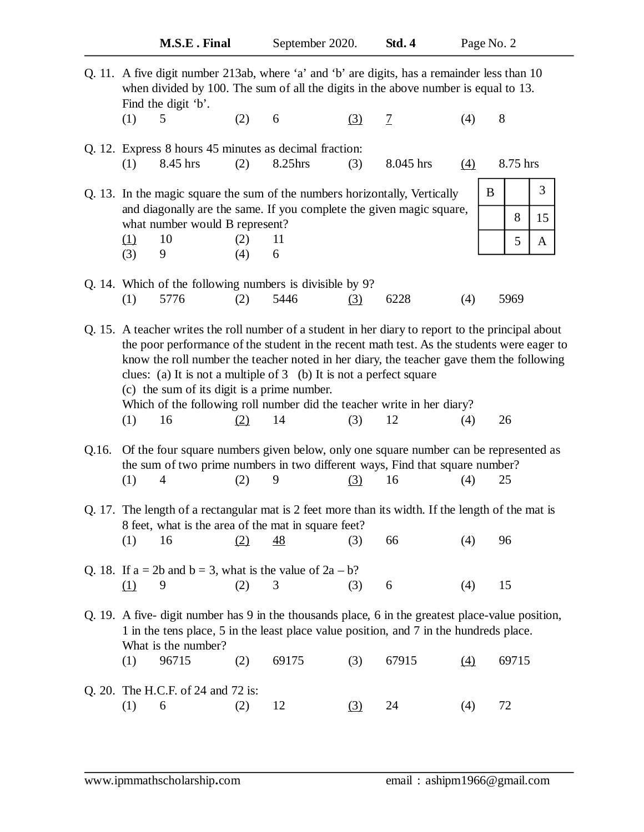|       |                                                                                                                                                                                                                                                                                                                                                                                                                                                                                                                                                    | Q. 11. A five digit number 213ab, where 'a' and 'b' are digits, has a remainder less than 10<br>when divided by 100. The sum of all the digits in the above number is equal to 13.<br>Find the digit 'b'. |     |           |     |                |                    |          |   |  |  |
|-------|----------------------------------------------------------------------------------------------------------------------------------------------------------------------------------------------------------------------------------------------------------------------------------------------------------------------------------------------------------------------------------------------------------------------------------------------------------------------------------------------------------------------------------------------------|-----------------------------------------------------------------------------------------------------------------------------------------------------------------------------------------------------------|-----|-----------|-----|----------------|--------------------|----------|---|--|--|
|       | (1)                                                                                                                                                                                                                                                                                                                                                                                                                                                                                                                                                | 5                                                                                                                                                                                                         | (2) | 6         | (3) | $\overline{1}$ | (4)                | 8        |   |  |  |
|       | (1)                                                                                                                                                                                                                                                                                                                                                                                                                                                                                                                                                | Q. 12. Express 8 hours 45 minutes as decimal fraction:<br>8.45 hrs                                                                                                                                        | (2) | 8.25hrs   | (3) | 8.045 hrs      | $\left(4\right)$   | 8.75 hrs |   |  |  |
|       | Q. 13. In the magic square the sum of the numbers horizontally, Vertically<br>and diagonally are the same. If you complete the given magic square,                                                                                                                                                                                                                                                                                                                                                                                                 | B                                                                                                                                                                                                         |     | 3         |     |                |                    |          |   |  |  |
|       | what number would B represent?                                                                                                                                                                                                                                                                                                                                                                                                                                                                                                                     |                                                                                                                                                                                                           | 8   | 15        |     |                |                    |          |   |  |  |
|       | (1)                                                                                                                                                                                                                                                                                                                                                                                                                                                                                                                                                | 10                                                                                                                                                                                                        | (2) | 11        |     |                |                    | 5        | A |  |  |
|       | (3)                                                                                                                                                                                                                                                                                                                                                                                                                                                                                                                                                | 9                                                                                                                                                                                                         | (4) | 6         |     |                |                    |          |   |  |  |
|       |                                                                                                                                                                                                                                                                                                                                                                                                                                                                                                                                                    | Q. 14. Which of the following numbers is divisible by 9?                                                                                                                                                  |     |           |     |                |                    |          |   |  |  |
|       | (1)                                                                                                                                                                                                                                                                                                                                                                                                                                                                                                                                                | 5776                                                                                                                                                                                                      | (2) | 5446      | (3) | 6228           | (4)                | 5969     |   |  |  |
|       | Q. 15. A teacher writes the roll number of a student in her diary to report to the principal about<br>the poor performance of the student in the recent math test. As the students were eager to<br>know the roll number the teacher noted in her diary, the teacher gave them the following<br>clues: (a) It is not a multiple of $3$ (b) It is not a perfect square<br>(c) the sum of its digit is a prime number.<br>Which of the following roll number did the teacher write in her diary?<br>16<br>12<br>(1)<br>14<br>(3)<br>(4)<br>26<br>(2) |                                                                                                                                                                                                           |     |           |     |                |                    |          |   |  |  |
| Q.16. |                                                                                                                                                                                                                                                                                                                                                                                                                                                                                                                                                    | Of the four square numbers given below, only one square number can be represented as<br>the sum of two prime numbers in two different ways, Find that square number?                                      |     |           |     |                |                    |          |   |  |  |
|       | (1)                                                                                                                                                                                                                                                                                                                                                                                                                                                                                                                                                | $\overline{4}$                                                                                                                                                                                            | (2) | 9         | (3) | 16             | (4)                | 25       |   |  |  |
|       |                                                                                                                                                                                                                                                                                                                                                                                                                                                                                                                                                    | Q. 17. The length of a rectangular mat is 2 feet more than its width. If the length of the mat is<br>8 feet, what is the area of the mat in square feet?                                                  |     |           |     |                |                    |          |   |  |  |
|       | (1)                                                                                                                                                                                                                                                                                                                                                                                                                                                                                                                                                | 16                                                                                                                                                                                                        | (2) | <u>48</u> | (3) | 66             | (4)                | 96       |   |  |  |
|       | Q. 18. If $a = 2b$ and $b = 3$ , what is the value of $2a - b$ ?                                                                                                                                                                                                                                                                                                                                                                                                                                                                                   |                                                                                                                                                                                                           |     |           |     |                |                    |          |   |  |  |
|       | <u>(1)</u>                                                                                                                                                                                                                                                                                                                                                                                                                                                                                                                                         | 9                                                                                                                                                                                                         | (2) | 3         | (3) | 6              | (4)                | 15       |   |  |  |
|       | Q. 19. A five- digit number has 9 in the thousands place, 6 in the greatest place-value position,<br>1 in the tens place, 5 in the least place value position, and 7 in the hundreds place.<br>What is the number?                                                                                                                                                                                                                                                                                                                                 |                                                                                                                                                                                                           |     |           |     |                |                    |          |   |  |  |
|       | (1)                                                                                                                                                                                                                                                                                                                                                                                                                                                                                                                                                | 96715                                                                                                                                                                                                     | (2) | 69175     | (3) | 67915          | $\left( 4 \right)$ | 69715    |   |  |  |
|       |                                                                                                                                                                                                                                                                                                                                                                                                                                                                                                                                                    | Q. 20. The H.C.F. of 24 and 72 is:                                                                                                                                                                        |     |           |     |                |                    |          |   |  |  |
|       | (1)                                                                                                                                                                                                                                                                                                                                                                                                                                                                                                                                                | 6                                                                                                                                                                                                         | (2) | 12        | (3) | 24             | (4)                | 72       |   |  |  |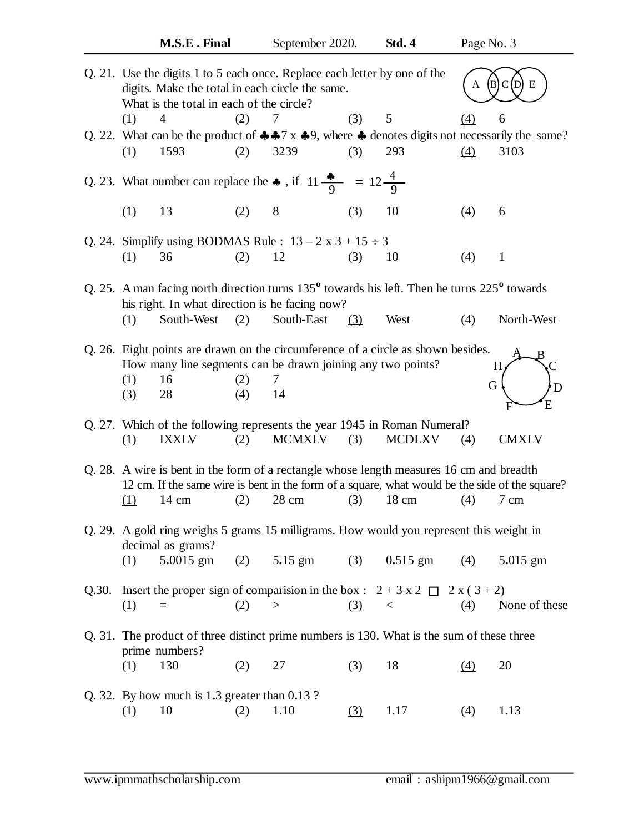|       | Q. 21. Use the digits 1 to 5 each once. Replace each letter by one of the<br>digits. Make the total in each circle the same.<br>What is the total in each of the circle? |                                                                                                                                                                                                     |            |                 |            |               |                   | (B<br>Ε<br>A                                                                                                                                      |  |  |
|-------|--------------------------------------------------------------------------------------------------------------------------------------------------------------------------|-----------------------------------------------------------------------------------------------------------------------------------------------------------------------------------------------------|------------|-----------------|------------|---------------|-------------------|---------------------------------------------------------------------------------------------------------------------------------------------------|--|--|
|       | (1)                                                                                                                                                                      | $\overline{4}$                                                                                                                                                                                      | (2)        | 7               | (3)        | 5             | (4)               | 6                                                                                                                                                 |  |  |
|       | (1)                                                                                                                                                                      | 1593                                                                                                                                                                                                | (2)        | 3239            | (3)        | 293           | (4)               | Q. 22. What can be the product of $\clubsuit \clubsuit 7 \times \clubsuit 9$ , where $\clubsuit$ denotes digits not necessarily the same?<br>3103 |  |  |
|       |                                                                                                                                                                          | Q. 23. What number can replace the $\bullet$ , if $11\frac{\bullet}{9} = 12\frac{4}{9}$                                                                                                             |            |                 |            |               |                   |                                                                                                                                                   |  |  |
|       | (1)                                                                                                                                                                      | 13                                                                                                                                                                                                  | (2)        | 8               | (3)        | 10            | (4)               | 6                                                                                                                                                 |  |  |
|       |                                                                                                                                                                          | Q. 24. Simplify using BODMAS Rule : $13 - 2 \times 3 + 15 \div 3$                                                                                                                                   |            |                 |            |               |                   |                                                                                                                                                   |  |  |
|       | (1)                                                                                                                                                                      | 36                                                                                                                                                                                                  | (2)        | 12              | (3)        | 10            | (4)               | $\mathbf{1}$                                                                                                                                      |  |  |
|       | Q. 25. A man facing north direction turns $135o$ towards his left. Then he turns $225o$ towards<br>his right. In what direction is he facing now?                        |                                                                                                                                                                                                     |            |                 |            |               |                   |                                                                                                                                                   |  |  |
|       | (1)                                                                                                                                                                      | South-West                                                                                                                                                                                          | (2)        | South-East      | (3)        | West          | (4)               | North-West                                                                                                                                        |  |  |
|       | (1)<br>(3)                                                                                                                                                               | Q. 26. Eight points are drawn on the circumference of a circle as shown besides.<br>How many line segments can be drawn joining any two points?<br>16<br>28                                         | (2)<br>(4) | 7<br>14         |            |               | G                 | н                                                                                                                                                 |  |  |
|       | (1)                                                                                                                                                                      | Q. 27. Which of the following represents the year 1945 in Roman Numeral?<br><b>IXXLV</b>                                                                                                            | (2)        | <b>MCMXLV</b>   | (3)        | <b>MCDLXV</b> | (4)               | <b>CMXLV</b>                                                                                                                                      |  |  |
|       | (1)                                                                                                                                                                      | Q. 28. A wire is bent in the form of a rectangle whose length measures 16 cm and breadth<br>12 cm. If the same wire is bent in the form of a square, what would be the side of the square?<br>14 cm | (2)        | $28 \text{ cm}$ | (3)        | 18 cm         | (4)               | 7 cm                                                                                                                                              |  |  |
|       | (1)                                                                                                                                                                      | Q. 29. A gold ring weighs 5 grams 15 milligrams. How would you represent this weight in<br>decimal as grams?<br>5.0015 gm                                                                           | (2)        | $5.15$ gm       | (3)        | $0.515$ gm    | $\left(4\right)$  | $5.015$ gm                                                                                                                                        |  |  |
|       |                                                                                                                                                                          |                                                                                                                                                                                                     |            |                 |            |               |                   |                                                                                                                                                   |  |  |
| Q.30. | (1)                                                                                                                                                                      | Insert the proper sign of comparision in the box : $2 + 3 \times 2 \square$ 2 x (3+2)<br>$\equiv$                                                                                                   | (2)        | $\,>$           | $(3) \leq$ |               | (4)               | None of these                                                                                                                                     |  |  |
|       |                                                                                                                                                                          | Q. 31. The product of three distinct prime numbers is 130. What is the sum of these three<br>prime numbers?                                                                                         |            |                 |            |               |                   |                                                                                                                                                   |  |  |
|       | (1)                                                                                                                                                                      | 130                                                                                                                                                                                                 | (2)        | 27              | (3)        | 18            | $\underline{(4)}$ | 20                                                                                                                                                |  |  |
|       | (1)                                                                                                                                                                      | Q. 32. By how much is 1.3 greater than 0.13?<br>10                                                                                                                                                  | (2)        | 1.10            | (3)        | 1.17          | (4)               | 1.13                                                                                                                                              |  |  |